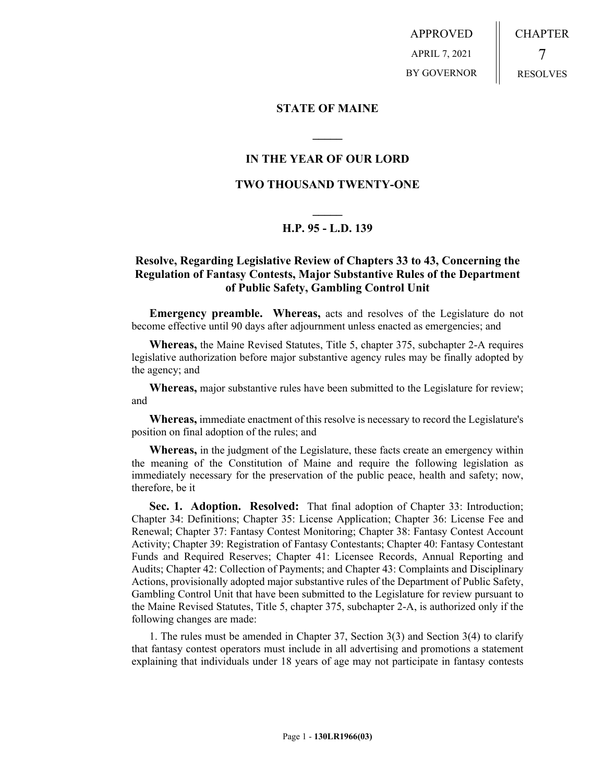APPROVED APRIL 7, 2021 BY GOVERNOR CHAPTER 7 RESOLVES

**STATE OF MAINE**

## **IN THE YEAR OF OUR LORD**

**\_\_\_\_\_**

## **TWO THOUSAND TWENTY-ONE**

## **\_\_\_\_\_ H.P. 95 - L.D. 139**

## **Resolve, Regarding Legislative Review of Chapters 33 to 43, Concerning the Regulation of Fantasy Contests, Major Substantive Rules of the Department of Public Safety, Gambling Control Unit**

**Emergency preamble. Whereas,** acts and resolves of the Legislature do not become effective until 90 days after adjournment unless enacted as emergencies; and

**Whereas,** the Maine Revised Statutes, Title 5, chapter 375, subchapter 2-A requires legislative authorization before major substantive agency rules may be finally adopted by the agency; and

**Whereas,** major substantive rules have been submitted to the Legislature for review; and

**Whereas,** immediate enactment of this resolve is necessary to record the Legislature's position on final adoption of the rules; and

**Whereas,** in the judgment of the Legislature, these facts create an emergency within the meaning of the Constitution of Maine and require the following legislation as immediately necessary for the preservation of the public peace, health and safety; now, therefore, be it

**Sec. 1. Adoption. Resolved:** That final adoption of Chapter 33: Introduction; Chapter 34: Definitions; Chapter 35: License Application; Chapter 36: License Fee and Renewal; Chapter 37: Fantasy Contest Monitoring; Chapter 38: Fantasy Contest Account Activity; Chapter 39: Registration of Fantasy Contestants; Chapter 40: Fantasy Contestant Funds and Required Reserves; Chapter 41: Licensee Records, Annual Reporting and Audits; Chapter 42: Collection of Payments; and Chapter 43: Complaints and Disciplinary Actions, provisionally adopted major substantive rules of the Department of Public Safety, Gambling Control Unit that have been submitted to the Legislature for review pursuant to the Maine Revised Statutes, Title 5, chapter 375, subchapter 2-A, is authorized only if the following changes are made:

1. The rules must be amended in Chapter 37, Section 3(3) and Section 3(4) to clarify that fantasy contest operators must include in all advertising and promotions a statement explaining that individuals under 18 years of age may not participate in fantasy contests